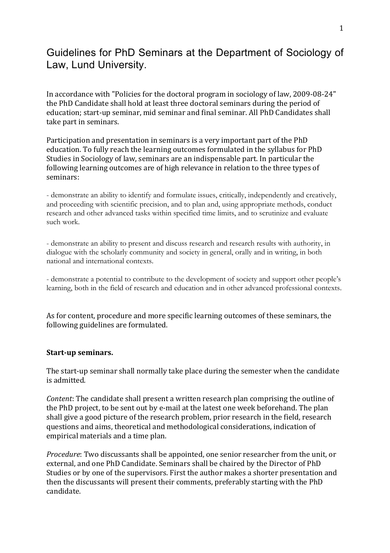## Guidelines for PhD Seminars at the Department of Sociology of Law, Lund University.

In accordance with "Policies for the doctoral program in sociology of law, 2009-08-24" the PhD Candidate shall hold at least three doctoral seminars during the period of education; start-up seminar, mid seminar and final seminar. All PhD Candidates shall take part in seminars.

Participation and presentation in seminars is a very important part of the PhD education. To fully reach the learning outcomes formulated in the syllabus for PhD Studies in Sociology of law, seminars are an indispensable part. In particular the following learning outcomes are of high relevance in relation to the three types of seminars:

- demonstrate an ability to identify and formulate issues, critically, independently and creatively, and proceeding with scientific precision, and to plan and, using appropriate methods, conduct research and other advanced tasks within specified time limits, and to scrutinize and evaluate such work.

- demonstrate an ability to present and discuss research and research results with authority, in dialogue with the scholarly community and society in general, orally and in writing, in both national and international contexts.

- demonstrate a potential to contribute to the development of society and support other people's learning, both in the field of research and education and in other advanced professional contexts.

As for content, procedure and more specific learning outcomes of these seminars, the following guidelines are formulated.

## **Start-up seminars.**

The start-up seminar shall normally take place during the semester when the candidate is admitted.

*Content*: The candidate shall present a written research plan comprising the outline of the PhD project, to be sent out by e-mail at the latest one week beforehand. The plan shall give a good picture of the research problem, prior research in the field, research questions and aims, theoretical and methodological considerations, indication of empirical materials and a time plan.

*Procedure*: Two discussants shall be appointed, one senior researcher from the unit, or external, and one PhD Candidate. Seminars shall be chaired by the Director of PhD Studies or by one of the supervisors. First the author makes a shorter presentation and then the discussants will present their comments, preferably starting with the PhD candidate.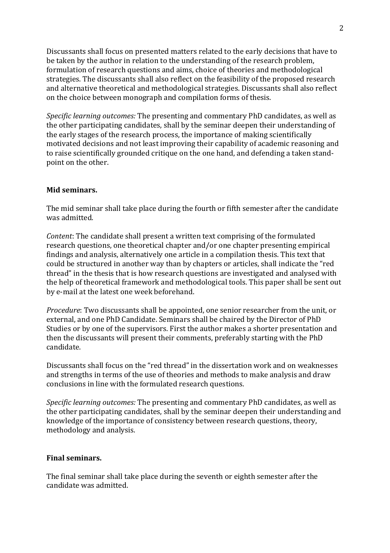Discussants shall focus on presented matters related to the early decisions that have to be taken by the author in relation to the understanding of the research problem, formulation of research questions and aims, choice of theories and methodological strategies. The discussants shall also reflect on the feasibility of the proposed research and alternative theoretical and methodological strategies. Discussants shall also reflect on the choice between monograph and compilation forms of thesis.

*Specific learning outcomes:* The presenting and commentary PhD candidates, as well as the other participating candidates, shall by the seminar deepen their understanding of the early stages of the research process, the importance of making scientifically motivated decisions and not least improving their capability of academic reasoning and to raise scientifically grounded critique on the one hand, and defending a taken standpoint on the other.

## **Mid seminars.**

The mid seminar shall take place during the fourth or fifth semester after the candidate was admitted.

*Content:* The candidate shall present a written text comprising of the formulated research questions, one theoretical chapter and/or one chapter presenting empirical findings and analysis, alternatively one article in a compilation thesis. This text that could be structured in another way than by chapters or articles, shall indicate the "red" thread" in the thesis that is how research questions are investigated and analysed with the help of theoretical framework and methodological tools. This paper shall be sent out by e-mail at the latest one week beforehand.

*Procedure*: Two discussants shall be appointed, one senior researcher from the unit, or external, and one PhD Candidate. Seminars shall be chaired by the Director of PhD Studies or by one of the supervisors. First the author makes a shorter presentation and then the discussants will present their comments, preferably starting with the PhD candidate.

Discussants shall focus on the "red thread" in the dissertation work and on weaknesses and strengths in terms of the use of theories and methods to make analysis and draw conclusions in line with the formulated research questions.

*Specific learning outcomes:* The presenting and commentary PhD candidates, as well as the other participating candidates, shall by the seminar deepen their understanding and knowledge of the importance of consistency between research questions, theory, methodology and analysis.

## Final seminars.

The final seminar shall take place during the seventh or eighth semester after the candidate was admitted.